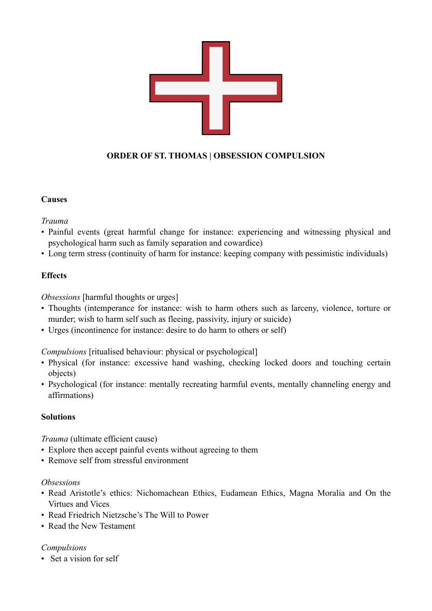

# **ORDER OF ST. THOMAS | OBSESSION COMPULSION**

## **Causes**

*Trauma*

- Painful events (great harmful change for instance: experiencing and witnessing physical and psychological harm such as family separation and cowardice)
- Long term stress (continuity of harm for instance: keeping company with pessimistic individuals)

## **Effects**

*Obsessions* [harmful thoughts or urges]

- Thoughts (intemperance for instance: wish to harm others such as larceny, violence, torture or murder; wish to harm self such as fleeing, passivity, injury or suicide)
- Urges (incontinence for instance: desire to do harm to others or self)

*Compulsions* [ritualised behaviour: physical or psychological]

- Physical (for instance: excessive hand washing, checking locked doors and touching certain objects)
- Psychological (for instance: mentally recreating harmful events, mentally channeling energy and affirmations)

## **Solutions**

*Trauma* (ultimate efficient cause)

- Explore then accept painful events without agreeing to them
- Remove self from stressful environment

## *Obsessions*

- Read Aristotle's ethics: Nichomachean Ethics, Eudamean Ethics, Magna Moralia and On the Virtues and Vices
- Read Friedrich Nietzsche's The Will to Power
- Read the New Testament

## *Compulsions*

• Set a vision for self